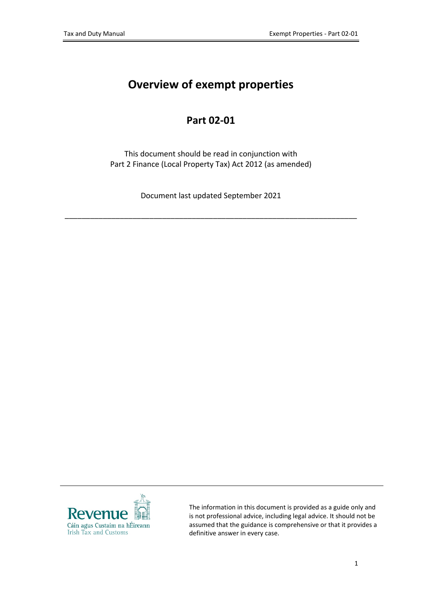# **Overview of exempt properties**

### **Part 02-01**

This document should be read in conjunction with Part 2 Finance (Local Property Tax) Act 2012 (as amended)

Document last updated September 2021

\_\_\_\_\_\_\_\_\_\_\_\_\_\_\_\_\_\_\_\_\_\_\_\_\_\_\_\_\_\_\_\_\_\_\_\_\_\_\_\_\_\_\_\_\_\_\_\_\_\_\_\_\_\_\_\_\_\_\_\_\_\_\_\_\_\_\_\_\_



The information in this document is provided as a guide only and is not professional advice, including legal advice. It should not be assumed that the guidance is comprehensive or that it provides a definitive answer in every case.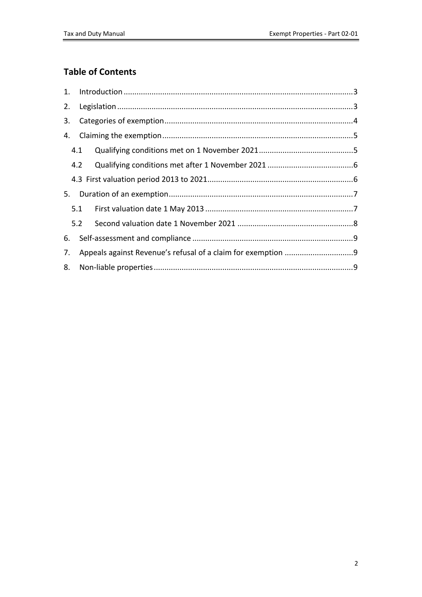### **Table of Contents**

| 2. |     |     |
|----|-----|-----|
| 3. |     |     |
| 4. |     |     |
|    | 4.1 |     |
|    | 4.2 |     |
|    |     |     |
|    |     |     |
|    | 5.1 |     |
|    |     | 5.2 |
| 6. |     |     |
| 7. |     |     |
| 8. |     |     |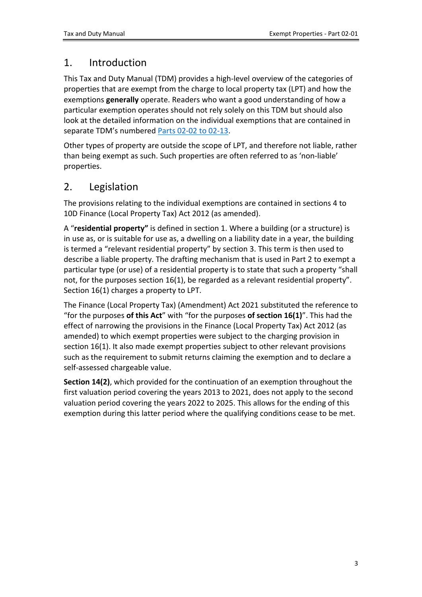## <span id="page-2-0"></span>1. Introduction

This Tax and Duty Manual (TDM) provides a high-level overview of the categories of properties that are exempt from the charge to local property tax (LPT) and how the exemptions **generally** operate. Readers who want a good understanding of how a particular exemption operates should not rely solely on this TDM but should also look at the detailed information on the individual exemptions that are contained in separate TDM's numbered [Parts](https://www.revenue.ie/en/tax-professionals/tdm/local-property-tax/part-02/index.aspx) [02-02](https://www.revenue.ie/en/tax-professionals/tdm/local-property-tax/part-02/index.aspx) [to](https://www.revenue.ie/en/tax-professionals/tdm/local-property-tax/part-02/index.aspx) [02-13](https://www.revenue.ie/en/tax-professionals/tdm/local-property-tax/part-02/index.aspx).

Other types of property are outside the scope of LPT, and therefore not liable, rather than being exempt as such. Such properties are often referred to as 'non-liable' properties.

### <span id="page-2-1"></span>2. Legislation

The provisions relating to the individual exemptions are contained in sections 4 to 10D Finance (Local Property Tax) Act 2012 (as amended).

A "**residential property"** is defined in section 1. Where a building (or a structure) is in use as, or is suitable for use as, a dwelling on a liability date in a year, the building is termed a "relevant residential property" by section 3. This term is then used to describe a liable property. The drafting mechanism that is used in Part 2 to exempt a particular type (or use) of a residential property is to state that such a property "shall not, for the purposes section 16(1), be regarded as a relevant residential property". Section 16(1) charges a property to LPT.

The Finance (Local Property Tax) (Amendment) Act 2021 substituted the reference to "for the purposes **of this Act**" with "for the purposes **of section 16(1)**". This had the effect of narrowing the provisions in the Finance (Local Property Tax) Act 2012 (as amended) to which exempt properties were subject to the charging provision in section 16(1). It also made exempt properties subject to other relevant provisions such as the requirement to submit returns claiming the exemption and to declare a self-assessed chargeable value.

**Section 14(2)**, which provided for the continuation of an exemption throughout the first valuation period covering the years 2013 to 2021, does not apply to the second valuation period covering the years 2022 to 2025. This allows for the ending of this exemption during this latter period where the qualifying conditions cease to be met.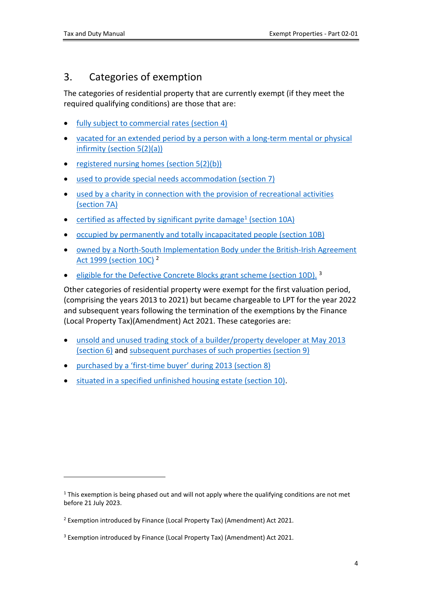# <span id="page-3-0"></span>3. Categories of exemption

The categories of residential property that are currently exempt (if they meet the required qualifying conditions) are those that are:

- [fully](https://www.revenue.ie/en/tax-professionals/tdm/local-property-tax/part-02/02-02.pdf) [subject](https://www.revenue.ie/en/tax-professionals/tdm/local-property-tax/part-02/02-02.pdf) [to](https://www.revenue.ie/en/tax-professionals/tdm/local-property-tax/part-02/02-02.pdf) [commercial](https://www.revenue.ie/en/tax-professionals/tdm/local-property-tax/part-02/02-02.pdf) [rates](https://www.revenue.ie/en/tax-professionals/tdm/local-property-tax/part-02/02-02.pdf) [\(section](https://www.revenue.ie/en/tax-professionals/tdm/local-property-tax/part-02/02-02.pdf) [4\)](https://www.revenue.ie/en/tax-professionals/tdm/local-property-tax/part-02/02-02.pdf)
- [vacated](https://www.revenue.ie/en/tax-professionals/tdm/local-property-tax/part-02/02-03.pdf) [for](https://www.revenue.ie/en/tax-professionals/tdm/local-property-tax/part-02/02-03.pdf) [an](https://www.revenue.ie/en/tax-professionals/tdm/local-property-tax/part-02/02-03.pdf) [extended](https://www.revenue.ie/en/tax-professionals/tdm/local-property-tax/part-02/02-03.pdf) [period](https://www.revenue.ie/en/tax-professionals/tdm/local-property-tax/part-02/02-03.pdf) [by](https://www.revenue.ie/en/tax-professionals/tdm/local-property-tax/part-02/02-03.pdf) [a](https://www.revenue.ie/en/tax-professionals/tdm/local-property-tax/part-02/02-03.pdf) [person](https://www.revenue.ie/en/tax-professionals/tdm/local-property-tax/part-02/02-03.pdf) [with](https://www.revenue.ie/en/tax-professionals/tdm/local-property-tax/part-02/02-03.pdf) [a](https://www.revenue.ie/en/tax-professionals/tdm/local-property-tax/part-02/02-03.pdf) [long-term](https://www.revenue.ie/en/tax-professionals/tdm/local-property-tax/part-02/02-03.pdf) [mental](https://www.revenue.ie/en/tax-professionals/tdm/local-property-tax/part-02/02-03.pdf) [or](https://www.revenue.ie/en/tax-professionals/tdm/local-property-tax/part-02/02-03.pdf) [physical](https://www.revenue.ie/en/tax-professionals/tdm/local-property-tax/part-02/02-03.pdf) [infirmity](https://www.revenue.ie/en/tax-professionals/tdm/local-property-tax/part-02/02-03.pdf) [\(section](https://www.revenue.ie/en/tax-professionals/tdm/local-property-tax/part-02/02-03.pdf) [5\(2\)\(a\)\)](https://www.revenue.ie/en/tax-professionals/tdm/local-property-tax/part-02/02-03.pdf)
- [registered](https://www.revenue.ie/en/tax-professionals/tdm/local-property-tax/part-02/02-03.pdf) [nursing](https://www.revenue.ie/en/tax-professionals/tdm/local-property-tax/part-02/02-03.pdf) [homes](https://www.revenue.ie/en/tax-professionals/tdm/local-property-tax/part-02/02-03.pdf) [\(section](https://www.revenue.ie/en/tax-professionals/tdm/local-property-tax/part-02/02-03.pdf)  $5(2)(b)$ )
- [used](https://www.revenue.ie/en/tax-professionals/tdm/local-property-tax/part-02/02-05.pdf) [to](https://www.revenue.ie/en/tax-professionals/tdm/local-property-tax/part-02/02-05.pdf) [provide](https://www.revenue.ie/en/tax-professionals/tdm/local-property-tax/part-02/02-05.pdf) [special](https://www.revenue.ie/en/tax-professionals/tdm/local-property-tax/part-02/02-05.pdf) [needs](https://www.revenue.ie/en/tax-professionals/tdm/local-property-tax/part-02/02-05.pdf) [accommodation](https://www.revenue.ie/en/tax-professionals/tdm/local-property-tax/part-02/02-05.pdf) [\(section](https://www.revenue.ie/en/tax-professionals/tdm/local-property-tax/part-02/02-05.pdf) [7\)](https://www.revenue.ie/en/tax-professionals/tdm/local-property-tax/part-02/02-05.pdf)
- [used](https://www.revenue.ie/en/tax-professionals/tdm/local-property-tax/part-02/02-06.pdf) [by](https://www.revenue.ie/en/tax-professionals/tdm/local-property-tax/part-02/02-06.pdf) [a](https://www.revenue.ie/en/tax-professionals/tdm/local-property-tax/part-02/02-06.pdf) [charity](https://www.revenue.ie/en/tax-professionals/tdm/local-property-tax/part-02/02-06.pdf) [in](https://www.revenue.ie/en/tax-professionals/tdm/local-property-tax/part-02/02-06.pdf) [connection](https://www.revenue.ie/en/tax-professionals/tdm/local-property-tax/part-02/02-06.pdf) [with](https://www.revenue.ie/en/tax-professionals/tdm/local-property-tax/part-02/02-06.pdf) [the](https://www.revenue.ie/en/tax-professionals/tdm/local-property-tax/part-02/02-06.pdf) [provision](https://www.revenue.ie/en/tax-professionals/tdm/local-property-tax/part-02/02-06.pdf) [of](https://www.revenue.ie/en/tax-professionals/tdm/local-property-tax/part-02/02-06.pdf) [recreational](https://www.revenue.ie/en/tax-professionals/tdm/local-property-tax/part-02/02-06.pdf) [activities](https://www.revenue.ie/en/tax-professionals/tdm/local-property-tax/part-02/02-06.pdf) [\(section](https://www.revenue.ie/en/tax-professionals/tdm/local-property-tax/part-02/02-06.pdf) [7A\)](https://www.revenue.ie/en/tax-professionals/tdm/local-property-tax/part-02/02-06.pdf)
- [certified](https://www.revenue.ie/en/tax-professionals/tdm/local-property-tax/part-02/02-10.pdf) [as](https://www.revenue.ie/en/tax-professionals/tdm/local-property-tax/part-02/02-10.pdf) [affected](https://www.revenue.ie/en/tax-professionals/tdm/local-property-tax/part-02/02-10.pdf) [by](https://www.revenue.ie/en/tax-professionals/tdm/local-property-tax/part-02/02-10.pdf) [significant](https://www.revenue.ie/en/tax-professionals/tdm/local-property-tax/part-02/02-10.pdf) [pyrite](https://www.revenue.ie/en/tax-professionals/tdm/local-property-tax/part-02/02-10.pdf) [damage](https://www.revenue.ie/en/tax-professionals/tdm/local-property-tax/part-02/02-10.pdf)<sup>[1](https://www.revenue.ie/en/tax-professionals/tdm/local-property-tax/part-02/02-10.pdf)</sup> [\(section](https://www.revenue.ie/en/tax-professionals/tdm/local-property-tax/part-02/02-10.pdf) [10A\)](https://www.revenue.ie/en/tax-professionals/tdm/local-property-tax/part-02/02-10.pdf)
- [occupied](https://www.revenue.ie/en/tax-professionals/tdm/local-property-tax/part-02/02-11.pdf) [by](https://www.revenue.ie/en/tax-professionals/tdm/local-property-tax/part-02/02-11.pdf) [permanently](https://www.revenue.ie/en/tax-professionals/tdm/local-property-tax/part-02/02-11.pdf) [and](https://www.revenue.ie/en/tax-professionals/tdm/local-property-tax/part-02/02-11.pdf) [totally](https://www.revenue.ie/en/tax-professionals/tdm/local-property-tax/part-02/02-11.pdf) [incapacitated](https://www.revenue.ie/en/tax-professionals/tdm/local-property-tax/part-02/02-11.pdf) [people](https://www.revenue.ie/en/tax-professionals/tdm/local-property-tax/part-02/02-11.pdf) [\(section](https://www.revenue.ie/en/tax-professionals/tdm/local-property-tax/part-02/02-11.pdf) [10B\)](https://www.revenue.ie/en/tax-professionals/tdm/local-property-tax/part-02/02-11.pdf)
- [owned](https://www.revenue.ie/en/tax-professionals/tdm/local-property-tax/part-02/02-12.pdf) [by](https://www.revenue.ie/en/tax-professionals/tdm/local-property-tax/part-02/02-12.pdf) [a](https://www.revenue.ie/en/tax-professionals/tdm/local-property-tax/part-02/02-12.pdf) [North-South](https://www.revenue.ie/en/tax-professionals/tdm/local-property-tax/part-02/02-12.pdf) [Implementation](https://www.revenue.ie/en/tax-professionals/tdm/local-property-tax/part-02/02-12.pdf) [Body](https://www.revenue.ie/en/tax-professionals/tdm/local-property-tax/part-02/02-12.pdf) [under](https://www.revenue.ie/en/tax-professionals/tdm/local-property-tax/part-02/02-12.pdf) [the](https://www.revenue.ie/en/tax-professionals/tdm/local-property-tax/part-02/02-12.pdf) [British-Irish](https://www.revenue.ie/en/tax-professionals/tdm/local-property-tax/part-02/02-12.pdf) [Agreement](https://www.revenue.ie/en/tax-professionals/tdm/local-property-tax/part-02/02-12.pdf) [Act](https://www.revenue.ie/en/tax-professionals/tdm/local-property-tax/part-02/02-12.pdf) [1999](https://www.revenue.ie/en/tax-professionals/tdm/local-property-tax/part-02/02-12.pdf) [\(section](https://www.revenue.ie/en/tax-professionals/tdm/local-property-tax/part-02/02-12.pdf) [10C\)](https://www.revenue.ie/en/tax-professionals/tdm/local-property-tax/part-02/02-12.pdf) <sup>2</sup>
- [eligible](https://www.revenue.ie/en/tax-professionals/tdm/local-property-tax/part-02/02-13.pdf) [for](https://www.revenue.ie/en/tax-professionals/tdm/local-property-tax/part-02/02-13.pdf) [the](https://www.revenue.ie/en/tax-professionals/tdm/local-property-tax/part-02/02-13.pdf) [Defective](https://www.revenue.ie/en/tax-professionals/tdm/local-property-tax/part-02/02-13.pdf) [Concrete](https://www.revenue.ie/en/tax-professionals/tdm/local-property-tax/part-02/02-13.pdf) [Blocks](https://www.revenue.ie/en/tax-professionals/tdm/local-property-tax/part-02/02-13.pdf) [grant](https://www.revenue.ie/en/tax-professionals/tdm/local-property-tax/part-02/02-13.pdf) [scheme](https://www.revenue.ie/en/tax-professionals/tdm/local-property-tax/part-02/02-13.pdf) [\(section](https://www.revenue.ie/en/tax-professionals/tdm/local-property-tax/part-02/02-13.pdf) [10D\).](https://www.revenue.ie/en/tax-professionals/tdm/local-property-tax/part-02/02-13.pdf) 3

Other categories of residential property were exempt for the first valuation period, (comprising the years 2013 to 2021) but became chargeable to LPT for the year 2022 and subsequent years following the termination of the exemptions by the Finance (Local Property Tax)(Amendment) Act 2021. These categories are:

- [unsold](https://www.revenue.ie/en/tax-professionals/tdm/local-property-tax/part-02/02-04.pdf) [and](https://www.revenue.ie/en/tax-professionals/tdm/local-property-tax/part-02/02-04.pdf) [unused](https://www.revenue.ie/en/tax-professionals/tdm/local-property-tax/part-02/02-04.pdf) [trading](https://www.revenue.ie/en/tax-professionals/tdm/local-property-tax/part-02/02-04.pdf) [stock](https://www.revenue.ie/en/tax-professionals/tdm/local-property-tax/part-02/02-04.pdf) [of](https://www.revenue.ie/en/tax-professionals/tdm/local-property-tax/part-02/02-04.pdf) [a](https://www.revenue.ie/en/tax-professionals/tdm/local-property-tax/part-02/02-04.pdf) [builder/property](https://www.revenue.ie/en/tax-professionals/tdm/local-property-tax/part-02/02-04.pdf) [developer](https://www.revenue.ie/en/tax-professionals/tdm/local-property-tax/part-02/02-04.pdf) [at](https://www.revenue.ie/en/tax-professionals/tdm/local-property-tax/part-02/02-04.pdf) [May](https://www.revenue.ie/en/tax-professionals/tdm/local-property-tax/part-02/02-04.pdf) [2013](https://www.revenue.ie/en/tax-professionals/tdm/local-property-tax/part-02/02-04.pdf) [\(section](https://www.revenue.ie/en/tax-professionals/tdm/local-property-tax/part-02/02-04.pdf) [6\)](https://www.revenue.ie/en/tax-professionals/tdm/local-property-tax/part-02/02-04.pdf) and [subsequent](https://www.revenue.ie/en/tax-professionals/tdm/local-property-tax/part-02/02-07.pdf) [purchases](https://www.revenue.ie/en/tax-professionals/tdm/local-property-tax/part-02/02-07.pdf) [of](https://www.revenue.ie/en/tax-professionals/tdm/local-property-tax/part-02/02-07.pdf) [such](https://www.revenue.ie/en/tax-professionals/tdm/local-property-tax/part-02/02-07.pdf) [properties](https://www.revenue.ie/en/tax-professionals/tdm/local-property-tax/part-02/02-07.pdf) [\(section](https://www.revenue.ie/en/tax-professionals/tdm/local-property-tax/part-02/02-07.pdf) [9\)](https://www.revenue.ie/en/tax-professionals/tdm/local-property-tax/part-02/02-07.pdf)
- [purchased](https://www.revenue.ie/en/tax-professionals/tdm/local-property-tax/part-02/02-08.pdf) [by](https://www.revenue.ie/en/tax-professionals/tdm/local-property-tax/part-02/02-08.pdf) [a](https://www.revenue.ie/en/tax-professionals/tdm/local-property-tax/part-02/02-08.pdf) ['first-time](https://www.revenue.ie/en/tax-professionals/tdm/local-property-tax/part-02/02-08.pdf) [buyer'](https://www.revenue.ie/en/tax-professionals/tdm/local-property-tax/part-02/02-08.pdf) [during](https://www.revenue.ie/en/tax-professionals/tdm/local-property-tax/part-02/02-08.pdf) [2013](https://www.revenue.ie/en/tax-professionals/tdm/local-property-tax/part-02/02-08.pdf) [\(section](https://www.revenue.ie/en/tax-professionals/tdm/local-property-tax/part-02/02-08.pdf) [8\)](https://www.revenue.ie/en/tax-professionals/tdm/local-property-tax/part-02/02-08.pdf)
- [situated](https://www.revenue.ie/en/tax-professionals/tdm/local-property-tax/part-02/02-09.pdf) [in](https://www.revenue.ie/en/tax-professionals/tdm/local-property-tax/part-02/02-09.pdf) [a](https://www.revenue.ie/en/tax-professionals/tdm/local-property-tax/part-02/02-09.pdf) [specified](https://www.revenue.ie/en/tax-professionals/tdm/local-property-tax/part-02/02-09.pdf) [unfinished](https://www.revenue.ie/en/tax-professionals/tdm/local-property-tax/part-02/02-09.pdf) [housing](https://www.revenue.ie/en/tax-professionals/tdm/local-property-tax/part-02/02-09.pdf) [estate](https://www.revenue.ie/en/tax-professionals/tdm/local-property-tax/part-02/02-09.pdf) [\(section](https://www.revenue.ie/en/tax-professionals/tdm/local-property-tax/part-02/02-09.pdf) [10\).](https://www.revenue.ie/en/tax-professionals/tdm/local-property-tax/part-02/02-09.pdf)

<sup>&</sup>lt;sup>1</sup> This exemption is being phased out and will not apply where the qualifying conditions are not met before 21 July 2023.

<sup>&</sup>lt;sup>2</sup> Exemption introduced by Finance (Local Property Tax) (Amendment) Act 2021.

<sup>3</sup> Exemption introduced by Finance (Local Property Tax) (Amendment) Act 2021.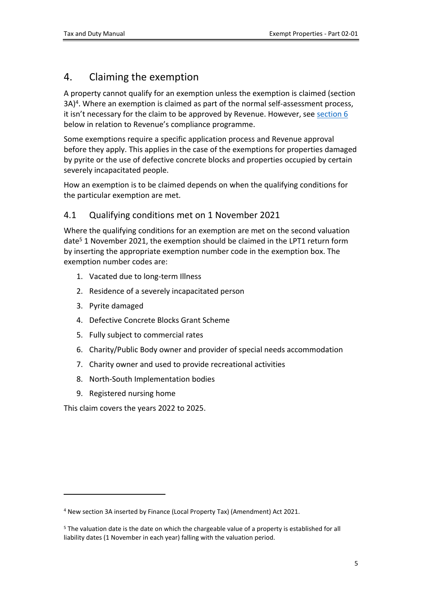# <span id="page-4-0"></span>4. Claiming the exemption

A property cannot qualify for an exemption unless the exemption is claimed (section 3A)<sup>4</sup>. Where an exemption is claimed as part of the normal self-assessment process, it isn't necessary for the claim to be approved by Revenue. However, see [section](#page-8-0) [6](#page-8-0) below in relation to Revenue's compliance programme.

Some exemptions require a specific application process and Revenue approval before they apply. This applies in the case of the exemptions for properties damaged by pyrite or the use of defective concrete blocks and properties occupied by certain severely incapacitated people.

How an exemption is to be claimed depends on when the qualifying conditions for the particular exemption are met.

#### <span id="page-4-1"></span>4.1 Qualifying conditions met on 1 November 2021

Where the qualifying conditions for an exemption are met on the second valuation date<sup>5</sup> 1 November 2021, the exemption should be claimed in the LPT1 return form by inserting the appropriate exemption number code in the exemption box. The exemption number codes are:

- 1. Vacated due to long-term Illness
- 2. Residence of a severely incapacitated person
- 3. Pyrite damaged
- 4. Defective Concrete Blocks Grant Scheme
- 5. Fully subject to commercial rates
- 6. Charity/Public Body owner and provider of special needs accommodation
- 7. Charity owner and used to provide recreational activities
- 8. North-South Implementation bodies
- 9. Registered nursing home

This claim covers the years 2022 to 2025.

<sup>4</sup> New section 3A inserted by Finance (Local Property Tax) (Amendment) Act 2021.

<sup>&</sup>lt;sup>5</sup> The valuation date is the date on which the chargeable value of a property is established for all liability dates (1 November in each year) falling with the valuation period.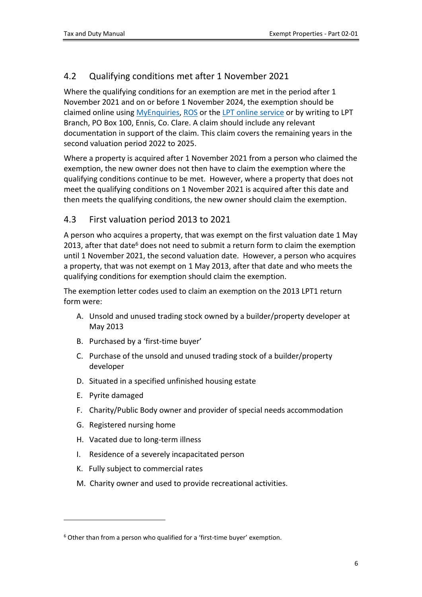### <span id="page-5-0"></span>4.2 Qualifying conditions met after 1 November 2021

Where the qualifying conditions for an exemption are met in the period after 1 November 2021 and on or before 1 November 2024, the exemption should be claimed online using [MyEnquiries](https://www.revenue.ie/en/online-services/services/manage-your-record/myenquiries.aspx), [ROS](https://www.revenue.ie/en/online-services/support/help-guides/ros/guide-to-ros.aspx) or the [LPT](https://www.revenue.ie/en/online-services/support/help-guides/lpt/lpt-online-service.aspx) [online](https://www.revenue.ie/en/online-services/support/help-guides/lpt/lpt-online-service.aspx) [service](https://www.revenue.ie/en/online-services/support/help-guides/lpt/lpt-online-service.aspx) or by writing to LPT Branch, PO Box 100, Ennis, Co. Clare. A claim should include any relevant documentation in support of the claim. This claim covers the remaining years in the second valuation period 2022 to 2025.

Where a property is acquired after 1 November 2021 from a person who claimed the exemption, the new owner does not then have to claim the exemption where the qualifying conditions continue to be met. However, where a property that does not meet the qualifying conditions on 1 November 2021 is acquired after this date and then meets the qualifying conditions, the new owner should claim the exemption.

### <span id="page-5-1"></span>4.3 First valuation period 2013 to 2021

A person who acquires a property, that was exempt on the first valuation date 1 May 2013, after that date<sup>6</sup> does not need to submit a return form to claim the exemption until 1 November 2021, the second valuation date. However, a person who acquires a property, that was not exempt on 1 May 2013, after that date and who meets the qualifying conditions for exemption should claim the exemption.

The exemption letter codes used to claim an exemption on the 2013 LPT1 return form were:

- A. Unsold and unused trading stock owned by a builder/property developer at May 2013
- B. Purchased by a 'first-time buyer'
- C. Purchase of the unsold and unused trading stock of a builder/property developer
- D. Situated in a specified unfinished housing estate
- E. Pyrite damaged
- F. Charity/Public Body owner and provider of special needs accommodation
- G. Registered nursing home
- H. Vacated due to long-term illness
- I. Residence of a severely incapacitated person
- K. Fully subject to commercial rates
- M. Charity owner and used to provide recreational activities.

<sup>&</sup>lt;sup>6</sup> Other than from a person who qualified for a 'first-time buyer' exemption.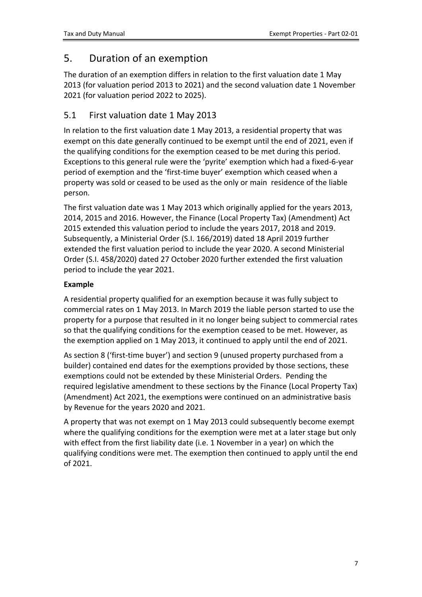### <span id="page-6-0"></span>5. Duration of an exemption

The duration of an exemption differs in relation to the first valuation date 1 May 2013 (for valuation period 2013 to 2021) and the second valuation date 1 November 2021 (for valuation period 2022 to 2025).

#### <span id="page-6-1"></span>5.1 First valuation date 1 May 2013

In relation to the first valuation date 1 May 2013, a residential property that was exempt on this date generally continued to be exempt until the end of 2021, even if the qualifying conditions for the exemption ceased to be met during this period. Exceptions to this general rule were the 'pyrite' exemption which had a fixed-6-year period of exemption and the 'first-time buyer' exemption which ceased when a property was sold or ceased to be used as the only or main residence of the liable person.

The first valuation date was 1 May 2013 which originally applied for the years 2013, 2014, 2015 and 2016. However, the Finance (Local Property Tax) (Amendment) Act 2015 extended this valuation period to include the years 2017, 2018 and 2019. Subsequently, a Ministerial Order (S.I. 166/2019) dated 18 April 2019 further extended the first valuation period to include the year 2020. A second Ministerial Order (S.I. 458/2020) dated 27 October 2020 further extended the first valuation period to include the year 2021.

#### **Example**

A residential property qualified for an exemption because it was fully subject to commercial rates on 1 May 2013. In March 2019 the liable person started to use the property for a purpose that resulted in it no longer being subject to commercial rates so that the qualifying conditions for the exemption ceased to be met. However, as the exemption applied on 1 May 2013, it continued to apply until the end of 2021.

As section 8 ('first-time buyer') and section 9 (unused property purchased from a builder) contained end dates for the exemptions provided by those sections, these exemptions could not be extended by these Ministerial Orders. Pending the required legislative amendment to these sections by the Finance (Local Property Tax) (Amendment) Act 2021, the exemptions were continued on an administrative basis by Revenue for the years 2020 and 2021.

A property that was not exempt on 1 May 2013 could subsequently become exempt where the qualifying conditions for the exemption were met at a later stage but only with effect from the first liability date (i.e. 1 November in a year) on which the qualifying conditions were met. The exemption then continued to apply until the end of 2021.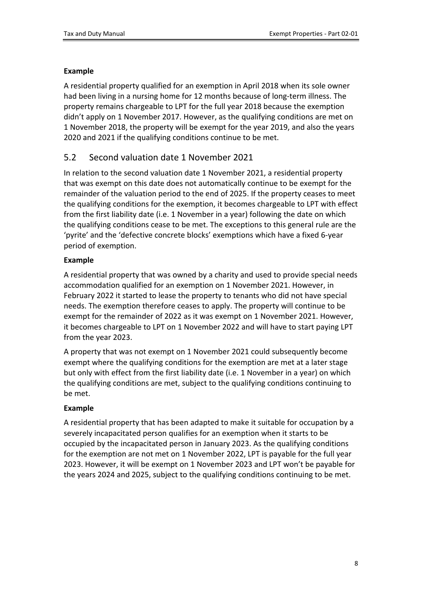#### **Example**

A residential property qualified for an exemption in April 2018 when its sole owner had been living in a nursing home for 12 months because of long-term illness. The property remains chargeable to LPT for the full year 2018 because the exemption didn't apply on 1 November 2017. However, as the qualifying conditions are met on 1 November 2018, the property will be exempt for the year 2019, and also the years 2020 and 2021 if the qualifying conditions continue to be met.

### <span id="page-7-0"></span>5.2 Second valuation date 1 November 2021

In relation to the second valuation date 1 November 2021, a residential property that was exempt on this date does not automatically continue to be exempt for the remainder of the valuation period to the end of 2025. If the property ceases to meet the qualifying conditions for the exemption, it becomes chargeable to LPT with effect from the first liability date (i.e. 1 November in a year) following the date on which the qualifying conditions cease to be met. The exceptions to this general rule are the 'pyrite' and the 'defective concrete blocks' exemptions which have a fixed 6-year period of exemption.

#### **Example**

A residential property that was owned by a charity and used to provide special needs accommodation qualified for an exemption on 1 November 2021. However, in February 2022 it started to lease the property to tenants who did not have special needs. The exemption therefore ceases to apply. The property will continue to be exempt for the remainder of 2022 as it was exempt on 1 November 2021. However, it becomes chargeable to LPT on 1 November 2022 and will have to start paying LPT from the year 2023.

A property that was not exempt on 1 November 2021 could subsequently become exempt where the qualifying conditions for the exemption are met at a later stage but only with effect from the first liability date (i.e. 1 November in a year) on which the qualifying conditions are met, subject to the qualifying conditions continuing to be met.

#### **Example**

A residential property that has been adapted to make it suitable for occupation by a severely incapacitated person qualifies for an exemption when it starts to be occupied by the incapacitated person in January 2023. As the qualifying conditions for the exemption are not met on 1 November 2022, LPT is payable for the full year 2023. However, it will be exempt on 1 November 2023 and LPT won't be payable for the years 2024 and 2025, subject to the qualifying conditions continuing to be met.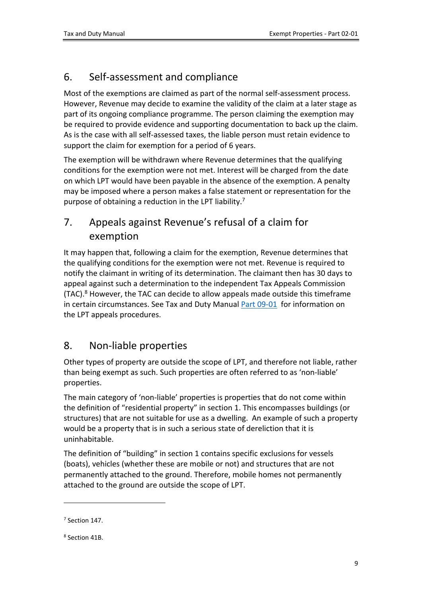# <span id="page-8-0"></span>6. Self-assessment and compliance

Most of the exemptions are claimed as part of the normal self-assessment process. However, Revenue may decide to examine the validity of the claim at a later stage as part of its ongoing compliance programme. The person claiming the exemption may be required to provide evidence and supporting documentation to back up the claim. As is the case with all self-assessed taxes, the liable person must retain evidence to support the claim for exemption for a period of 6 years.

The exemption will be withdrawn where Revenue determines that the qualifying conditions for the exemption were not met. Interest will be charged from the date on which LPT would have been payable in the absence of the exemption. A penalty may be imposed where a person makes a false statement or representation for the purpose of obtaining a reduction in the LPT liability.<sup>7</sup>

# <span id="page-8-1"></span>7. Appeals against Revenue's refusal of a claim for exemption

It may happen that, following a claim for the exemption, Revenue determines that the qualifying conditions for the exemption were not met. Revenue is required to notify the claimant in writing of its determination. The claimant then has 30 days to appeal against such a determination to the independent Tax Appeals Commission  $(TAC)$ .<sup>8</sup> However, the TAC can decide to allow appeals made outside this timeframe in certain circumstances. See Tax and Duty Manual [Part](https://www.revenue.ie/en/tax-professionals/tdm/local-property-tax/part-09/09-01.pdf) [09-01](https://www.revenue.ie/en/tax-professionals/tdm/local-property-tax/part-09/09-01.pdf) for information on the LPT appeals procedures.

# <span id="page-8-2"></span>8. Non-liable properties

Other types of property are outside the scope of LPT, and therefore not liable, rather than being exempt as such. Such properties are often referred to as 'non-liable' properties.

The main category of 'non-liable' properties is properties that do not come within the definition of "residential property" in section 1. This encompasses buildings (or structures) that are not suitable for use as a dwelling. An example of such a property would be a property that is in such a serious state of dereliction that it is uninhabitable.

The definition of "building" in section 1 contains specific exclusions for vessels (boats), vehicles (whether these are mobile or not) and structures that are not permanently attached to the ground. Therefore, mobile homes not permanently attached to the ground are outside the scope of LPT.

<sup>7</sup> Section 147.

<sup>8</sup> Section 41B.